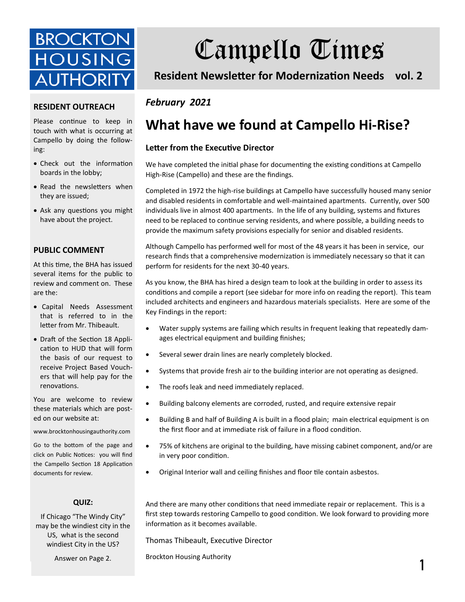

# Campello Times

**Resident Newsletter for Modernization Needs vol. 2**

#### **RESIDENT OUTREACH**

Please continue to keep in touch with what is occurring at Campello by doing the following:

- Check out the information boards in the lobby;
- Read the newsletters when they are issued;
- Ask any questions you might have about the project.

#### **PUBLIC COMMENT**

At this time, the BHA has issued several items for the public to review and comment on. These are the:

- Capital Needs Assessment that is referred to in the letter from Mr. Thibeault.
- Draft of the Section 18 Application to HUD that will form the basis of our request to receive Project Based Vouchers that will help pay for the renovations.

You are welcome to review these materials which are posted on our website at:

www.brocktonhousingauthority.com

Go to the bottom of the page and click on Public Notices: you will find the Campello Section 18 Application documents for review.

#### **QUIZ:**

If Chicago "The Windy City" may be the windiest city in the US, what is the second windiest City in the US?

Answer on Page 2.

### *February 2021*

## **What have we found at Campello Hi-Rise?**

#### **Letter from the Executive Director**

We have completed the initial phase for documenting the existing conditions at Campello High-Rise (Campello) and these are the findings.

Completed in 1972 the high-rise buildings at Campello have successfully housed many senior and disabled residents in comfortable and well-maintained apartments. Currently, over 500 individuals live in almost 400 apartments. In the life of any building, systems and fixtures need to be replaced to continue serving residents, and where possible, a building needs to provide the maximum safety provisions especially for senior and disabled residents.

Although Campello has performed well for most of the 48 years it has been in service, our research finds that a comprehensive modernization is immediately necessary so that it can perform for residents for the next 30-40 years.

As you know, the BHA has hired a design team to look at the building in order to assess its conditions and compile a report (see sidebar for more info on reading the report). This team included architects and engineers and hazardous materials specialists. Here are some of the Key Findings in the report:

- Water supply systems are failing which results in frequent leaking that repeatedly damages electrical equipment and building finishes;
- Several sewer drain lines are nearly completely blocked.
- Systems that provide fresh air to the building interior are not operating as designed.
- The roofs leak and need immediately replaced.
- Building balcony elements are corroded, rusted, and require extensive repair
- Building B and half of Building A is built in a flood plain; main electrical equipment is on the first floor and at immediate risk of failure in a flood condition.
- 75% of kitchens are original to the building, have missing cabinet component, and/or are in very poor condition.
- Original Interior wall and ceiling finishes and floor tile contain asbestos.

And there are many other conditions that need immediate repair or replacement. This is a first step towards restoring Campello to good condition. We look forward to providing more information as it becomes available.

Thomas Thibeault, Executive Director

Brockton Housing Authority **1986**<br> **1**